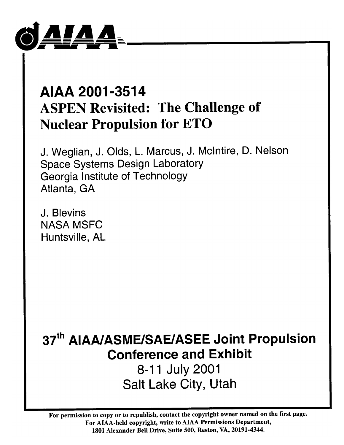

# AIAA 2001-3514 **ASPEN Revisited: The Challenge of Nuclear Propulsion for ETO**

J. Weglian, J. Olds, L. Marcus, J. McIntire, D. Nelson **Space Systems Design Laboratory** Georgia Institute of Technology Atlanta, GA

J. Blevins **NASA MSFC** Huntsville, AL

37th AIAA/ASME/SAE/ASEE Joint Propulsion **Conference and Exhibit** 

8-11 July 2001 **Salt Lake City, Utah** 

For permission to copy or to republish, contact the copyright owner named on the first page. For AIAA-held copyright, write to AIAA Permissions Department, 1801 Alexander Bell Drive, Suite 500, Reston, VA, 20191-4344.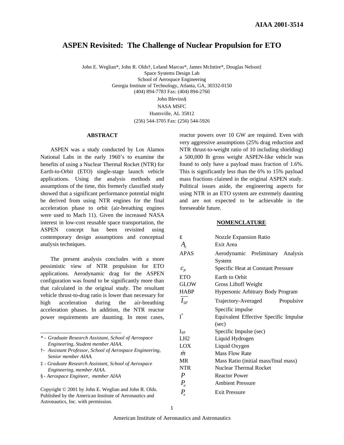## **ASPEN Revisited: The Challenge of Nuclear Propulsion for ETO**

John E. Weglian\*, John R. Olds†, Leland Marcus\*, James McIntire\*, Douglas Nelson‡ Space Systems Design Lab School of Aerospace Engineering Georgia Institute of Technology, Atlanta, GA, 30332-0150 (404) 894-7783 Fax: (404) 894-2760 John Blevins§ NASA MSFC Huntsville, AL 35812

(256) 544-3705 Fax: (256) 544-5926

#### **ABSTRACT**

ASPEN was a study conducted by Los Alamos National Labs in the early 1960's to examine the benefits of using a Nuclear Thermal Rocket (NTR) for Earth-to-Orbit (ETO) single-stage launch vehicle applications. Using the analysis methods and assumptions of the time, this formerly classified study showed that a significant performance potential might be derived from using NTR engines for the final acceleration phase to orbit (air-breathing engines were used to Mach 11). Given the increased NASA interest in low-cost reusable space transportation, the ASPEN concept has been revisited using contemporary design assumptions and conceptual analysis techniques.

The present analysis concludes with a more pessimistic view of NTR propulsion for ETO applications. Aerodynamic drag for the ASPEN configuration was found to be significantly more than that calculated in the original study. The resultant vehicle thrust-to-drag ratio is lower than necessary for high acceleration during the air-breathing acceleration phases. In addition, the NTR reactor power requirements are daunting. In most cases,

§ *- Aerospace Engineer, member AIAA*

Copyright © 2001 by John E. Weglian and John R. Olds. Published by the American Institute of Aeronautics and Astronautics, Inc. with permission.

reactor powers over 10 GW are required. Even with very aggressive assumptions (25% drag reduction and NTR thrust-to-weight ratio of 10 including shielding) a 500,000 lb gross weight ASPEN-like vehicle was found to only have a payload mass fraction of 1.6%. This is significantly less than the 6% to 15% payload mass fractions claimed in the original ASPEN study. Political issues aside, the engineering aspects for using NTR in an ETO system are extremely daunting and are not expected to be achievable in the foreseeable future.

#### **NOMENCLATURE**

| Ë,                         | <b>Nozzle Expansion Ratio</b>         |
|----------------------------|---------------------------------------|
| $A_{\scriptscriptstyle e}$ | Exit Area                             |
| APAS                       | Aerodynamic Preliminary Analysis      |
|                            | System                                |
| $c_{p}$                    | Specific Heat at Constant Pressure    |
| ETO                        | Earth to Orbit                        |
| GLOW                       | Gross Liftoff Weight                  |
| HABP                       | Hypersonic Arbitrary Body Program     |
| $I_{SP}$                   | Trajectory-Averaged<br>Propulsive     |
|                            | Specific impulse                      |
| $\overline{\mathrm{I}}^*$  | Equivalent Effective Specific Impulse |
|                            | (sec)                                 |
| $_{\rm ISP}$               | Specific Impulse (sec)                |
| LH2                        | Liquid Hydrogen                       |
| LOX                        | Liquid Oxygen                         |
| m                          | Mass Flow Rate                        |
| MR                         | Mass Ratio (initial mass/final mass)  |
| NTR                        | <b>Nuclear Thermal Rocket</b>         |
| $\boldsymbol{P}$           | <b>Reactor Power</b>                  |
| $P_a$                      | <b>Ambient Pressure</b>               |
| $P_e$                      | <b>Exit Pressure</b>                  |
|                            |                                       |

*<sup>\* -</sup> Graduate Research Assistant, School of Aerospace Engineering, Student member AIAA.*

<sup>†</sup>*- Assistant Professor, School of Aerospace Engineering, Senior member AIAA.*

<sup>‡</sup> *- Graduate Research Assistant, School of Aerospace Engineering, member AIAA.*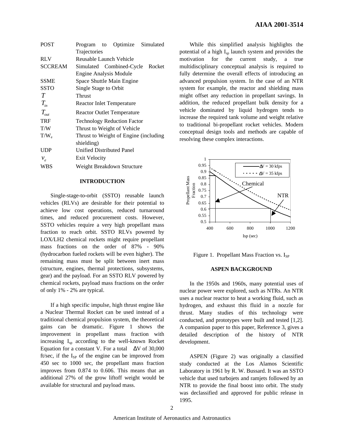| <b>POST</b>   | Program to Optimize<br>Simulated      |  |  |
|---------------|---------------------------------------|--|--|
|               | Trajectories                          |  |  |
| <b>RLV</b>    | Reusable Launch Vehicle               |  |  |
| SCCREAM       | Simulated Combined-Cycle<br>Rocket    |  |  |
|               | <b>Engine Analysis Module</b>         |  |  |
| <b>SSME</b>   | Space Shuttle Main Engine             |  |  |
| SSTO          | Single Stage to Orbit                 |  |  |
| T             | <b>Thrust</b>                         |  |  |
| $T_{in}$      | Reactor Inlet Temperature             |  |  |
| $T_{\rm out}$ | <b>Reactor Outlet Temperature</b>     |  |  |
| TRF           | <b>Technology Reduction Factor</b>    |  |  |
| T/W           | Thrust to Weight of Vehicle           |  |  |
| $T/W_{\rm e}$ | Thrust to Weight of Engine (including |  |  |
|               | shielding)                            |  |  |
| <b>UDP</b>    | <b>Unified Distributed Panel</b>      |  |  |
| $v_e$         | <b>Exit Velocity</b>                  |  |  |
| WBS           | Weight Breakdown Structure            |  |  |

#### **INTRODUCTION**

Single-stage-to-orbit (SSTO) reusable launch vehicles (RLVs) are desirable for their potential to achieve low cost operations, reduced turnaround times, and reduced procurement costs. However, SSTO vehicles require a very high propellant mass fraction to reach orbit. SSTO RLVs powered by LOX/LH2 chemical rockets might require propellant mass fractions on the order of 87% - 90% (hydrocarbon fueled rockets will be even higher). The remaining mass must be split between inert mass (structure, engines, thermal protections, subsystems, gear) and the payload. For an SSTO RLV powered by chemical rockets, payload mass fractions on the order of only 1% - 2% are typical.

If a high specific impulse, high thrust engine like a Nuclear Thermal Rocket can be used instead of a traditional chemical propulsion system, the theoretical gains can be dramatic. Figure 1 shows the improvement in propellant mass fraction with increasing I<sub>sp</sub> according to the well-known Rocket Equation for a constant V. For a total  $\Delta V$  of 30,000 ft/sec, if the  $I_{SP}$  of the engine can be improved from 450 sec to 1000 sec, the propellant mass fraction improves from 0.874 to 0.606. This means that an additional 27% of the grow liftoff weight would be available for structural and payload mass.

While this simplified analysis highlights the potential of a high I<sub>sp</sub> launch system and provides the motivation for the current study, a true multidisciplinary conceptual analysis is required to fully determine the overall effects of introducing an advanced propulsion system. In the case of an NTR system for example, the reactor and shielding mass might offset any reduction in propellant savings. In addition, the reduced propellant bulk density for a vehicle dominated by liquid hydrogen tends to increase the required tank volume and weight relative to traditional bi-propellant rocket vehicles. Modern conceptual design tools and methods are capable of resolving these complex interactions.



Figure 1. Propellant Mass Fraction vs.  $I_{SP}$ 

## **ASPEN BACKGROUND**

In the 1950s and 1960s, many potential uses of nuclear power were explored, such as NTRs. An NTR uses a nuclear reactor to heat a working fluid, such as hydrogen, and exhaust this fluid in a nozzle for thrust. Many studies of this technology were conducted, and prototypes were built and tested [1,2]. A companion paper to this paper, Reference 3, gives a detailed description of the history of NTR development.

ASPEN (Figure 2) was originally a classified study conducted at the Los Alamos Scientific Laboratory in 1961 by R. W. Bussard. It was an SSTO vehicle that used turbojets and ramjets followed by an NTR to provide the final boost into orbit. The study was declassified and approved for public release in 1995.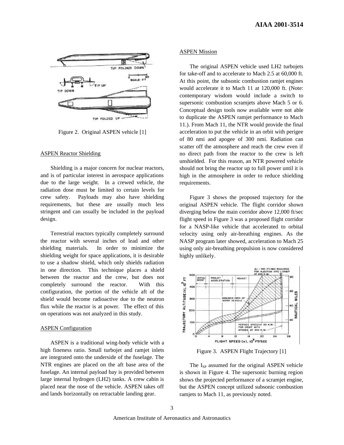

Figure 2. Original ASPEN vehicle [1]

#### ASPEN Reactor Shielding

Shielding is a major concern for nuclear reactors, and is of particular interest in aerospace applications due to the large weight. In a crewed vehicle, the radiation dose must be limited to certain levels for crew safety. Payloads may also have shielding requirements, but these are usually much less stringent and can usually be included in the payload design.

Terrestrial reactors typically completely surround the reactor with several inches of lead and other shielding materials. In order to minimize the shielding weight for space applications, it is desirable to use a shadow shield, which only shields radiation in one direction. This technique places a shield between the reactor and the crew, but does not completely surround the reactor. With this configuration, the portion of the vehicle aft of the shield would become radioactive due to the neutron flux while the reactor is at power. The effect of this on operations was not analyzed in this study.

## ASPEN Configuration

ASPEN is a traditional wing-body vehicle with a high fineness ratio. Small turbojet and ramjet inlets are integrated onto the underside of the fuselage. The NTR engines are placed on the aft base area of the fuselage. An internal payload bay is provided between large internal hydrogen (LH2) tanks. A crew cabin is placed near the nose of the vehicle. ASPEN takes off and lands horizontally on retractable landing gear.

#### ASPEN Mission

The original ASPEN vehicle used LH2 turbojets for take-off and to accelerate to Mach 2.5 at 60,000 ft. At this point, the subsonic combustion ramjet engines would accelerate it to Mach 11 at 120,000 ft. (Note: contemporary wisdom would include a switch to supersonic combustion scramjets above Mach 5 or 6. Conceptual design tools now available were not able to duplicate the ASPEN ramjet performance to Mach 11.). From Mach 11, the NTR would provide the final acceleration to put the vehicle in an orbit with perigee of 80 nmi and apogee of 300 nmi. Radiation can scatter off the atmosphere and reach the crew even if no direct path from the reactor to the crew is left unshielded. For this reason, an NTR powered vehicle should not bring the reactor up to full power until it is high in the atmosphere in order to reduce shielding requirements.

Figure 3 shows the proposed trajectory for the original ASPEN vehicle. The flight corridor shown diverging below the main corridor above 12,000 ft/sec flight speed in Figure 3 was a proposed flight corridor for a NASP-like vehicle that accelerated to orbital velocity using only air-breathing engines. As the NASP program later showed, acceleration to Mach 25 using only air-breathing propulsion is now considered highly unlikely.



Figure 3. ASPEN Flight Trajectory [1]

The I<sub>SP</sub> assumed for the original ASPEN vehicle is shown in Figure 4. The supersonic burning region shows the projected performance of a scramjet engine, but the ASPEN concept utilized subsonic combustion ramjets to Mach 11, as previously noted.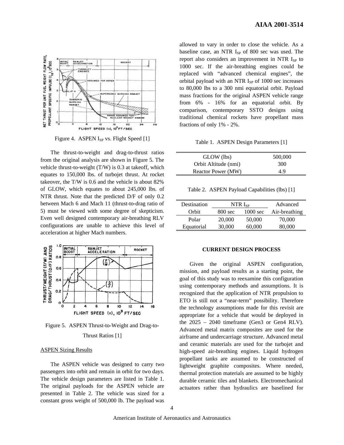

Figure 4. ASPEN I<sub>SP</sub> vs. Flight Speed [1]

The thrust-to-weight and drag-to-thrust ratios from the original analysis are shown in Figure 5. The vehicle thrust-to-weight (T/W) is 0.3 at takeoff, which equates to 150,000 lbs. of turbojet thrust. At rocket takeover, the T/W is 0.6 and the vehicle is about 82% of GLOW, which equates to about 245,000 lbs. of NTR thrust. Note that the predicted D/F of only 0.2 between Mach 6 and Mach 11 (thrust-to-drag ratio of 5) must be viewed with some degree of skepticism. Even well designed contemporary air-breathing RLV configurations are unable to achieve this level of acceleration at higher Mach numbers.



Figure 5. ASPEN Thrust-to-Weight and Drag-to-

## Thrust Ratios [1]

#### ASPEN Sizing Results

The ASPEN vehicle was designed to carry two passengers into orbit and remain in orbit for two days. The vehicle design parameters are listed in Table 1. The original payloads for the ASPEN vehicle are presented in Table 2. The vehicle was sized for a constant gross weight of 500,000 lb. The payload was

allowed to vary in order to close the vehicle. As a baseline case, an NTR  $I_{SP}$  of 800 sec was used. The report also considers an improvement in NTR  $I_{SP}$  to 1000 sec. If the air-breathing engines could be replaced with "advanced chemical engines", the orbital payload with an NTR  $I_{SP}$  of 1000 sec increases to 80,000 lbs to a 300 nmi equatorial orbit. Payload mass fractions for the original ASPEN vehicle range from 6% - 16% for an equatorial orbit. By comparison, contemporary SSTO designs using traditional chemical rockets have propellant mass fractions of only 1% - 2%.

Table 1. ASPEN Design Parameters [1]

| GLOW (lbs)           | 500,000 |
|----------------------|---------|
| Orbit Altitude (nmi) | 300     |
| Reactor Power (MW)   | 4.9     |

Table 2. ASPEN Payload Capabilities (lbs) [1]

| Destination | $NTR I_{SP}$      |                    | Advanced      |
|-------------|-------------------|--------------------|---------------|
| Orbit       | $800 \text{ sec}$ | $1000 \text{ sec}$ | Air-breathing |
| Polar       | 20,000            | 50,000             | 70,000        |
| Equatorial  | 30,000            | 60,000             | 80,000        |

## **CURRENT DESIGN PROCESS**

Given the original ASPEN configuration, mission, and payload results as a starting point, the goal of this study was to reexamine this configuration using contemporary methods and assumptions. It is recognized that the application of NTR propulsion to ETO is still not a "near-term" possibility. Therefore the technology assumptions made for this revisit are appropriate for a vehicle that would be deployed in the  $2025 - 2040$  timeframe (Gen3 or Gen4 RLV). Advanced metal matrix composites are used for the airframe and undercarriage structure. Advanced metal and ceramic materials are used for the turbojet and high-speed air-breathing engines. Liquid hydrogen propellant tanks are assumed to be constructed of lightweight graphite composites. Where needed, thermal protection materials are assumed to be highly durable ceramic tiles and blankets. Electromechanical actuators rather than hydraulics are baselined for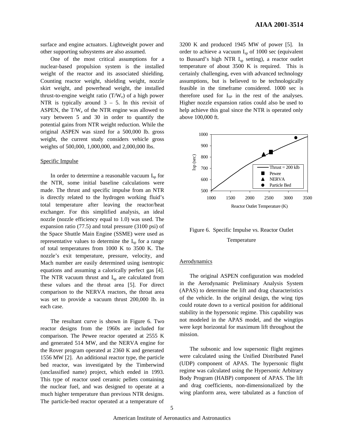surface and engine actuators. Lightweight power and other supporting subsystems are also assumed.

One of the most critical assumptions for a nuclear-based propulsion system is the installed weight of the reactor and its associated shielding. Counting reactor weight, shielding weight, nozzle skirt weight, and powerhead weight, the installed thrust-to-engine weight ratio  $(T/W_e)$  of a high power NTR is typically around  $3 - 5$ . In this revisit of ASPEN, the  $T/W_e$  of the NTR engine was allowed to vary between 5 and 30 in order to quantify the potential gains from NTR weight reduction. While the original ASPEN was sized for a 500,000 lb. gross weight, the current study considers vehicle gross weights of 500,000, 1,000,000, and 2,000,000 lbs.

#### Specific Impulse

In order to determine a reasonable vacuum  $I_{\rm{sp}}$  for the NTR, some initial baseline calculations were made. The thrust and specific impulse from an NTR is directly related to the hydrogen working fluid's total temperature after leaving the reactor/heat exchanger. For this simplified analysis, an ideal nozzle (nozzle efficiency equal to 1.0) was used. The expansion ratio (77.5) and total pressure (3100 psi) of the Space Shuttle Main Engine (SSME) were used as representative values to determine the  $I_{sp}$  for a range of total temperatures from 1000 K to 3500 K. The nozzle's exit temperature, pressure, velocity, and Mach number are easily determined using isentropic equations and assuming a calorically perfect gas [4]. The NTR vacuum thrust and  $I_{sp}$  are calculated from these values and the throat area [5]. For direct comparison to the NERVA reactors, the throat area was set to provide a vacuum thrust 200,000 lb. in each case.

The resultant curve is shown in Figure 6. Two reactor designs from the 1960s are included for comparison. The Pewee reactor operated at 2555 K and generated 514 MW, and the NERVA engine for the Rover program operated at 2360 K and generated 1556 MW [2]. An additional reactor type, the particle bed reactor, was investigated by the Timberwind (unclassified name) project, which ended in 1993. This type of reactor used ceramic pellets containing the nuclear fuel, and was designed to operate at a much higher temperature than previous NTR designs. The particle-bed reactor operated at a temperature of

3200 K and produced 1945 MW of power [5]. In order to achieve a vacuum  $I_{sp}$  of 1000 sec (equivalent to Bussard's high NTR  $I_{sp}$  setting), a reactor outlet temperature of about 3500 K is required. This is certainly challenging, even with advanced technology assumptions, but is believed to be technologically feasible in the timeframe considered. 1000 sec is therefore used for I<sub>SP</sub> in the rest of the analyses. Higher nozzle expansion ratios could also be used to help achieve this goal since the NTR is operated only above 100,000 ft.



# Figure 6. Specific Impulse vs. Reactor Outlet Temperature

#### Aerodynamics

The original ASPEN configuration was modeled in the Aerodynamic Preliminary Analysis System (APAS) to determine the lift and drag characteristics of the vehicle. In the original design, the wing tips could rotate down to a vertical position for additional stability in the hypersonic regime. This capability was not modeled in the APAS model, and the wingtips were kept horizontal for maximum lift throughout the mission.

The subsonic and low supersonic flight regimes were calculated using the Unified Distributed Panel (UDP) component of APAS. The hypersonic flight regime was calculated using the Hypersonic Arbitrary Body Program (HABP) component of APAS. The lift and drag coefficients, non-dimensionalized by the wing planform area, were tabulated as a function of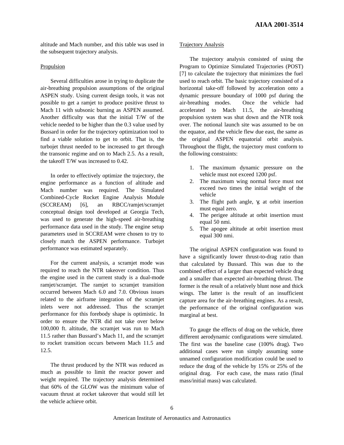altitude and Mach number, and this table was used in the subsequent trajectory analysis.

## Propulsion

Several difficulties arose in trying to duplicate the air-breathing propulsion assumptions of the original ASPEN study. Using current design tools, it was not possible to get a ramjet to produce positive thrust to Mach 11 with subsonic burning as ASPEN assumed. Another difficulty was that the initial T/W of the vehicle needed to be higher than the 0.3 value used by Bussard in order for the trajectory optimization tool to find a viable solution to get to orbit. That is, the turbojet thrust needed to be increased to get through the transonic regime and on to Mach 2.5. As a result, the takeoff T/W was increased to 0.42.

In order to effectively optimize the trajectory, the engine performance as a function of altitude and Mach number was required. The Simulated Combined-Cycle Rocket Engine Analysis Module (SCCREAM) [6], an RBCC/ramjet/scramjet conceptual design tool developed at Georgia Tech, was used to generate the high-speed air-breathing performance data used in the study. The engine setup parameters used in SCCREAM were chosen to try to closely match the ASPEN performance. Turbojet performance was estimated separately.

For the current analysis, a scramjet mode was required to reach the NTR takeover condition. Thus the engine used in the current study is a dual-mode ramjet/scramjet. The ramjet to scramjet transition occurred between Mach 6.0 and 7.0. Obvious issues related to the airframe integration of the scramjet inlets were not addressed. Thus the scramjet performance for this forebody shape is optimistic. In order to ensure the NTR did not take over below 100,000 ft. altitude, the scramjet was run to Mach 11.5 rather than Bussard's Mach 11, and the scramjet to rocket transition occurs between Mach 11.5 and 12.5.

The thrust produced by the NTR was reduced as much as possible to limit the reactor power and weight required. The trajectory analysis determined that 60% of the GLOW was the minimum value of vacuum thrust at rocket takeover that would still let the vehicle achieve orbit.

## Trajectory Analysis

The trajectory analysis consisted of using the Program to Optimize Simulated Trajectories (POST) [7] to calculate the trajectory that minimizes the fuel used to reach orbit. The basic trajectory consisted of a horizontal take-off followed by acceleration onto a dynamic pressure boundary of 1000 psf during the air-breathing modes. Once the vehicle had accelerated to Mach 11.5, the air-breathing propulsion system was shut down and the NTR took over. The notional launch site was assumed to be on the equator, and the vehicle flew due east, the same as the original ASPEN equatorial orbit analysis. Throughout the flight, the trajectory must conform to the following constraints:

- 1. The maximum dynamic pressure on the vehicle must not exceed 1200 psf.
- 2. The maximum wing normal force must not exceed two times the initial weight of the vehicle
- 3. The flight path angle, γ, at orbit insertion must equal zero.
- 4. The perigee altitude at orbit insertion must equal 50 nmi.
- 5. The apogee altitude at orbit insertion must equal 300 nmi.

The original ASPEN configuration was found to have a significantly lower thrust-to-drag ratio than that calculated by Bussard. This was due to the combined effect of a larger than expected vehicle drag and a smaller than expected air-breathing thrust. The former is the result of a relatively blunt nose and thick wings. The latter is the result of an insufficient capture area for the air-breathing engines. As a result, the performance of the original configuration was marginal at best.

To gauge the effects of drag on the vehicle, three different aerodynamic configurations were simulated. The first was the baseline case (100% drag). Two additional cases were run simply assuming some unnamed configuration modification could be used to reduce the drag of the vehicle by 15% or 25% of the original drag. For each case, the mass ratio (final mass/initial mass) was calculated.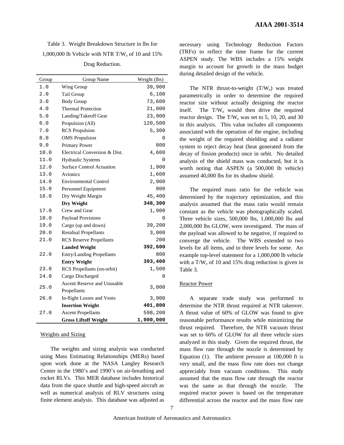Table 3. Weight Breakdown Structure in lbs for 1,000,000 lb Vehicle with NTR T/W<sup>e</sup> of 10 and 15% Drag Reduction.

| Group | Group Name                       | Weight (lbs) |
|-------|----------------------------------|--------------|
| 1.0   | Wing Group                       | 39,900       |
| 2.0   | Tail Group                       | 6,100        |
| 3.0   | <b>Body Group</b>                | 73,600       |
| 4.0   | <b>Thermal Protection</b>        | 21,000       |
| 5.0   | Landing/Takeoff Gear             | 23,900       |
| 6.0   | Propulsion (All)                 | 120,500      |
| $7.0$ | <b>RCS</b> Propulsion            | 5,300        |
| 8.0   | <b>OMS</b> Propulsion            | 0            |
| 9.0   | Primary Power                    | 800          |
| 10.0  | Electrical Conversion & Dist.    | 4,600        |
| 11.0  | Hydraulic Systems                | 0            |
| 12.0  | <b>Surface Control Actuation</b> | 1,900        |
| 13.0  | <b>Avionics</b>                  | 1,600        |
| 14.0  | <b>Environmental Control</b>     | 2,900        |
| 15.0  | Personnel Equipment              | 800          |
| 16.0  | Dry Weight Margin                | 45,400       |
|       | Dry Weight                       | 348,300      |
| 17.0  | Crew and Gear                    | 1,900        |
| 18.0  | Payload Provisions               | 0            |
| 19.0  | Cargo (up and down)              | 39,200       |
| 20.0  | <b>Residual Propellants</b>      | 3,000        |
| 21.0  | <b>RCS</b> Reserve Propellants   | 200          |
|       | <b>Landed Weight</b>             | 392,600      |
| 22.0  | <b>Entry/Landing Propellants</b> | 800          |
|       | <b>Entry Weight</b>              | 393,400      |
| 23.0  | RCS Propellants (on-orbit)       | 1,500        |
| 24.0  | Cargo Discharged                 | 0            |
| 25.0  | Ascent Reserve and Unusable      | 3,000        |
|       | Propellants                      |              |
| 26.0  | In-flight Losses and Vents       | 3,900        |
|       | <b>Insertion Weight</b>          | 401,800      |
| 27.0  | <b>Ascent Propellants</b>        | 598,200      |
|       | <b>Gross Liftoff Weight</b>      | 1,000,000    |

## Weights and Sizing

The weights and sizing analysis was conducted using Mass Estimating Relationships (MERs) based upon work done at the NASA Langley Research Center in the 1980's and 1990's on air-breathing and rocket RLVs. This MER database includes historical data from the space shuttle and high-speed aircraft as well as numerical analysis of RLV structures using finite element analysis. This database was adjusted as

necessary using Technology Reduction Factors (TRFs) to reflect the time frame for the current ASPEN study. The WBS includes a 15% weight margin to account for growth in the mass budget during detailed design of the vehicle.

The NTR thrust-to-weight  $(T/W_e)$  was treated parametrically in order to determine the required reactor size without actually designing the reactor itself. The T/W<sub>e</sub> would then drive the required reactor design. The  $T/W_e$  was set to 5, 10, 20, and 30 in this analysis. This value includes all components associated with the operation of the engine, including the weight of the required shielding and a radiator system to reject decay heat (heat generated from the decay of fission products) once in orbit. No detailed analysis of the shield mass was conducted, but it is worth noting that ASPEN (a 500,000 lb vehicle) assumed 40,000 lbs for its shadow shield.

The required mass ratio for the vehicle was determined by the trajectory optimization, and this analysis assumed that the mass ratio would remain constant as the vehicle was photographically scaled. Three vehicle sizes, 500,000 lbs, 1,000,000 lbs and 2,000,000 lbs GLOW, were investigated. The mass of the payload was allowed to be negative, if required to converge the vehicle. The WBS extended to two levels for all items, and to three levels for some. An example top-level statement for a 1,000,000 lb vehicle with a  $T/W_e$  of 10 and 15% drag reduction is given in Table 3.

## Reactor Power

A separate trade study was performed to determine the NTR thrust required at NTR takeover. A thrust value of 60% of GLOW was found to give reasonable performance results while minimizing the thrust required. Therefore, the NTR vacuum thrust was set to 60% of GLOW for all three vehicle sizes analyzed in this study. Given the required thrust, the mass flow rate through the nozzle is determined by Equation (1). The ambient pressure at 100,000 ft is very small, and the mass flow rate does not change appreciably from vacuum conditions. This study assumed that the mass flow rate through the reactor was the same as that through the nozzle. The required reactor power is based on the temperature differential across the reactor and the mass flow rate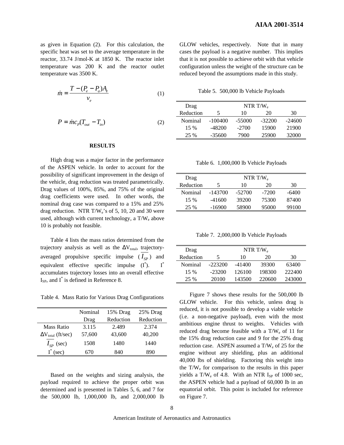as given in Equation (2). For this calculation, the specific heat was set to the average temperature in the reactor, 33.74 J/mol-K at 1850 K. The reactor inlet temperature was 200 K and the reactor outlet temperature was 3500 K.

$$
\dot{m} = \frac{T - (P_e - P_a)A_e}{v_e} \tag{1}
$$

$$
P = \dot{m}c_p(T_{out} - T_{in})
$$
 (2)

#### **RESULTS**

High drag was a major factor in the performance of the ASPEN vehicle. In order to account for the possibility of significant improvement in the design of the vehicle, drag reduction was treated parametrically. Drag values of 100%, 85%, and 75% of the original drag coefficients were used. In other words, the nominal drag case was compared to a 15% and 25% drag reduction. NTR  $T/W_e$ 's of 5, 10, 20 and 30 were used, although with current technology, a  $T/W_e$  above 10 is probably not feasible.

Table 4 lists the mass ratios determined from the trajectory analysis as well as the  $\Delta V_{total}$ , trajectoryaveraged propulsive specific impulse  $(I_{SP})$  and equivalent effective specific impulse  $(I^*)$ .  $I^*$ accumulates trajectory losses into an overall effective  $I_{SP}$ , and  $I^*$  is defined in Reference 8.

Table 4. Mass Ratio for Various Drag Configurations

|                             | Nominal | 15% Drag  | 25% Drag  |
|-----------------------------|---------|-----------|-----------|
|                             | Drag    | Reduction | Reduction |
| Mass Ratio                  | 3.115   | 2.489     | 2.374     |
| $\Delta V_{total}$ (ft/sec) | 57,600  | 43,600    | 40,200    |
| $I_{SP}$ (sec)              | 1508    | 1480      | 1440      |
| (sec)                       | 670     | 840       | 890       |

Based on the weights and sizing analysis, the payload required to achieve the proper orbit was determined and is presented in Tables 5, 6, and 7 for the 500,000 lb, 1,000,000 lb, and 2,000,000 lb GLOW vehicles, respectively. Note that in many cases the payload is a negative number. This implies that it is not possible to achieve orbit with that vehicle configuration unless the weight of the structure can be reduced beyond the assumptions made in this study.

Table 5. 500,000 lb Vehicle Payloads

| Drag      | NTR T/W   |         |          |          |
|-----------|-----------|---------|----------|----------|
| Reduction | 5         | 10      | 20       | 30       |
| Nominal   | $-100400$ | -55000  | $-32200$ | $-24600$ |
| $15\%$    | -48200    | $-2700$ | 15900    | 21900    |
| 25 %      | $-35600$  | 7900    | 25900    | 32000    |

Table 6. 1,000,000 lb Vehicle Payloads

| Drag      | NTR T/W. |        |         |       |
|-----------|----------|--------|---------|-------|
| Reduction | 5        | 10     | 20      | 30    |
| Nominal   | -143700  | -52700 | $-7200$ | -6400 |
| $15\%$    | -41600   | 39200  | 75300   | 87400 |
| 25 %      | -16900   | 58900  | 95000   | 99100 |

Table 7. 2,000,000 lb Vehicle Payloads

| Drag      | NTR T/ $W_e$ |          |        |        |
|-----------|--------------|----------|--------|--------|
| Reduction | 5            | 10       | 20     | 30     |
| Nominal   | $-223200$    | $-41400$ | 39300  | 63400  |
| $15\%$    | $-23200$     | 126100   | 198300 | 222400 |
| 25 %      | 20100        | 143500   | 220600 | 243000 |

Figure 7 shows these results for the 500,000 lb GLOW vehicle. For this vehicle, unless drag is reduced, it is not possible to develop a viable vehicle (i.e. a non-negative payload), even with the most ambitious engine thrust to weights. Vehicles with reduced drag become feasible with a  $T/W_e$  of 11 for the 15% drag reduction case and 9 for the 25% drag reduction case. ASPEN assumed a  $T/W_e$  of 25 for the engine without any shielding, plus an additional 40,000 lbs of shielding. Factoring this weight into the  $T/W<sub>e</sub>$  for comparison to the results in this paper yields a  $T/W_e$  of 4.8. With an NTR  $I_{SP}$  of 1000 sec, the ASPEN vehicle had a payload of 60,000 lb in an equatorial orbit. This point is included for reference on Figure 7.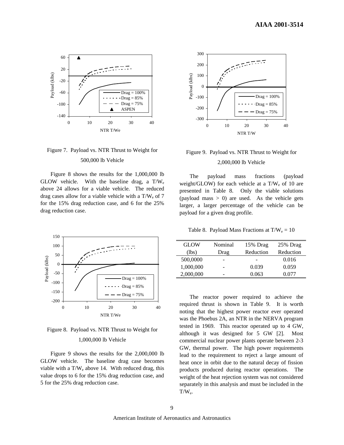

# Figure 7. Payload vs. NTR Thrust to Weight for 500,000 lb Vehicle

Figure 8 shows the results for the 1,000,000 lb GLOW vehicle. With the baseline drag, a  $T/W_e$ above 24 allows for a viable vehicle. The reduced drag cases allow for a viable vehicle with a  $T/W_e$  of 7 for the 15% drag reduction case, and 6 for the 25% drag reduction case.





## 1,000,000 lb Vehicle

Figure 9 shows the results for the 2,000,000 lb GLOW vehicle. The baseline drag case becomes viable with a  $T/W_e$  above 14. With reduced drag, this value drops to 6 for the 15% drag reduction case, and 5 for the 25% drag reduction case.



# Figure 9. Payload vs. NTR Thrust to Weight for 2,000,000 lb Vehicle

The payload mass fractions (payload weight/GLOW) for each vehicle at a  $T/W_e$  of 10 are presented in Table 8. Only the viable solutions (payload mass  $> 0$ ) are used. As the vehicle gets larger, a larger percentage of the vehicle can be payload for a given drag profile.

Table 8. Payload Mass Fractions at  $T/W_e = 10$ 

| GLOW      | Nominal | 15% Drag  | 25% Drag  |
|-----------|---------|-----------|-----------|
| (lbs)     | Drag    | Reduction | Reduction |
| 500,0000  |         |           | 0.016     |
| 1,000,000 |         | 0.039     | 0.059     |
| 2,000,000 |         | 0.063     | 0.077     |
|           |         |           |           |

The reactor power required to achieve the required thrust is shown in Table 9. It is worth noting that the highest power reactor ever operated was the Phoebus 2A, an NTR in the NERVA program tested in 1969. This reactor operated up to 4 GW, although it was designed for 5 GW [2]. Most commercial nuclear power plants operate between 2-3 GW, thermal power. The high power requirements lead to the requirement to reject a large amount of heat once in orbit due to the natural decay of fission products produced during reactor operations. The weight of the heat rejection system was not considered separately in this analysis and must be included in the  $T/W_e$ .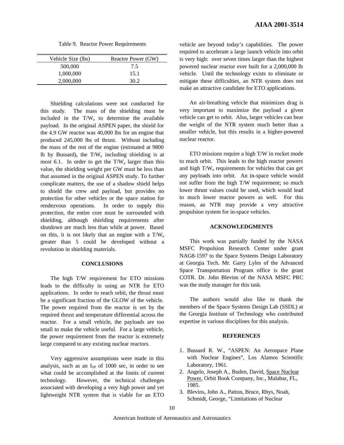Table 9. Reactor Power Requirements

| Vehicle Size (lbs) | Reactor Power (GW) |
|--------------------|--------------------|
| 500,000            | 7.5                |
| 1,000,000          | 15.1               |
| 2,000,000          | 30.2               |

Shielding calculations were not conducted for this study. The mass of the shielding must be included in the  $T/W_e$  to determine the available payload. In the original ASPEN paper, the shield for the 4.9 GW reactor was 40,000 lbs for an engine that produced 245,000 lbs of thrust. Without including the mass of the rest of the engine (estimated at 9800 Ib by Bussard), the  $T/W_e$  including shielding is at most 6.1. In order to get the  $T/W_e$  larger than this value, the shielding weight per GW must be less than that assumed in the original ASPEN study. To further complicate matters, the use of a shadow shield helps to shield the crew and payload, but provides no protection for other vehicles or the space station for rendezvous operations. In order to supply this protection, the entire core must be surrounded with shielding, although shielding requirements after shutdown are much less than while at power. Based on this, it is not likely that an engine with a  $T/W_e$ greater than 5 could be developed without a revolution in shielding materials.

#### **CONCLUSIONS**

The high T/W requirement for ETO missions leads to the difficulty in using an NTR for ETO applications. In order to reach orbit, the thrust must be a significant fraction of the GLOW of the vehicle. The power required from the reactor is set by the required thrust and temperature differential across the reactor. For a small vehicle, the payloads are too small to make the vehicle useful. For a large vehicle, the power requirement from the reactor is extremely large compared to any existing nuclear reactors.

Very aggressive assumptions were made in this analysis, such as an  $I_{SP}$  of 1000 sec, in order to see what could be accomplished at the limits of current technology. However, the technical challenges associated with developing a very high power and yet lightweight NTR system that is viable for an ETO

vehicle are beyond today's capabilities. The power required to accelerate a large launch vehicle into orbit is very high: over seven times larger than the highest powered nuclear reactor ever built for a 2,000,000 lb vehicle. Until the technology exists to eliminate or mitigate these difficulties, an NTR system does not make an attractive candidate for ETO applications.

An air-breathing vehicle that minimizes drag is very important to maximize the payload a given vehicle can get to orbit. Also, larger vehicles can bear the weight of the NTR system much better than a smaller vehicle, but this results in a higher-powered nuclear reactor.

ETO missions require a high T/W in rocket mode to reach orbit. This leads to the high reactor powers and high T/W<sub>e</sub> requirements for vehicles that can get any payloads into orbit. An in-space vehicle would not suffer from the high T/W requirement; so much lower thrust values could be used, which would lead to much lower reactor powers as well. For this reason, an NTR may provide a very attractive propulsion system for in-space vehicles.

## **ACKNOWLEDGMENTS**

This work was partially funded by the NASA MSFC Propulsion Research Center under grant NAG8-1597 to the Space Systems Design Laboratory at Georgia Tech. Mr. Garry Lyles of the Advanced Space Transportation Program office is the grant COTR. Dr. John Blevins of the NASA MSFC PRC was the study manager for this task.

The authors would also like to thank the members of the Space Systems Design Lab (SSDL) at the Georgia Institute of Technology who contributed expertise in various disciplines for this analysis.

## **REFERENCES**

- 1. Bussard R. W., "ASPEN: An Aerospace Plane with Nuclear Engines", Los Alamos Scientific Laboratory, 1961.
- 2. Angelo, Joseph A., Buden, David, Space Nuclear Power, Orbit Book Company, Inc., Malabar, FL, 1985.
- 3. Blevins, John A., Patton, Bruce, Rhys, Noah, Schmidt, George, "Limitations of Nuclear